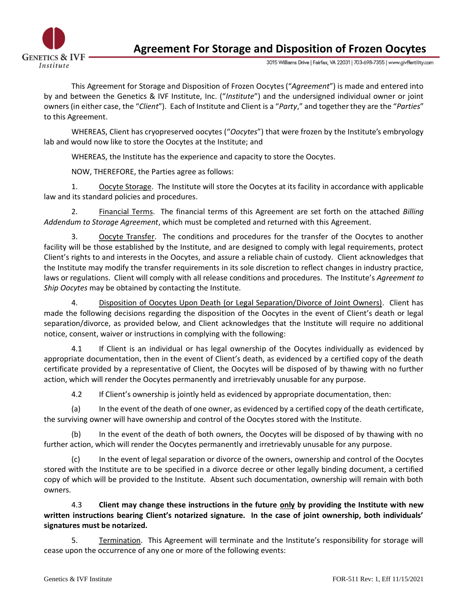

**Agreement For Storage and Disposition of Frozen Oocytes**

3015 Williams Drive | Fairfax, VA 22031 | 703-698-7355 | www.givffertility.com

This Agreement for Storage and Disposition of Frozen Oocytes("*Agreement*") is made and entered into by and between the Genetics & IVF Institute, Inc. ("*Institute*") and the undersigned individual owner or joint owners (in either case, the "*Client*"). Each of Institute and Client is a "*Party*," and together they are the "*Parties*" to this Agreement.

WHEREAS, Client has cryopreserved oocytes ("*Oocytes*") that were frozen by the Institute's embryology lab and would now like to store the Oocytes at the Institute; and

WHEREAS, the Institute has the experience and capacity to store the Oocytes.

NOW, THEREFORE, the Parties agree as follows:

1. Oocyte Storage. The Institute will store the Oocytes at its facility in accordance with applicable law and its standard policies and procedures.

2. Financial Terms. The financial terms of this Agreement are set forth on the attached *Billing Addendum to Storage Agreement*, which must be completed and returned with this Agreement.

3. Oocyte Transfer. The conditions and procedures for the transfer of the Oocytes to another facility will be those established by the Institute, and are designed to comply with legal requirements, protect Client's rights to and interests in the Oocytes, and assure a reliable chain of custody. Client acknowledges that the Institute may modify the transfer requirements in its sole discretion to reflect changes in industry practice, laws or regulations. Client will comply with all release conditions and procedures. The Institute's *Agreement to Ship Oocytes* may be obtained by contacting the Institute.

4. Disposition of Oocytes Upon Death (or Legal Separation/Divorce of Joint Owners). Client has made the following decisions regarding the disposition of the Oocytes in the event of Client's death or legal separation/divorce, as provided below, and Client acknowledges that the Institute will require no additional notice, consent, waiver or instructions in complying with the following:

4.1 If Client is an individual or has legal ownership of the Oocytes individually as evidenced by appropriate documentation, then in the event of Client's death, as evidenced by a certified copy of the death certificate provided by a representative of Client, the Oocytes will be disposed of by thawing with no further action, which will render the Oocytes permanently and irretrievably unusable for any purpose.

4.2 If Client's ownership is jointly held as evidenced by appropriate documentation, then:

(a) In the event of the death of one owner, as evidenced by a certified copy of the death certificate, the surviving owner will have ownership and control of the Oocytes stored with the Institute.

(b) In the event of the death of both owners, the Oocytes will be disposed of by thawing with no further action, which will render the Oocytes permanently and irretrievably unusable for any purpose.

(c) In the event of legal separation or divorce of the owners, ownership and control of the Oocytes stored with the Institute are to be specified in a divorce decree or other legally binding document, a certified copy of which will be provided to the Institute. Absent such documentation, ownership will remain with both owners.

4.3 **Client may change these instructions in the future only by providing the Institute with new written instructions bearing Client's notarized signature. In the case of joint ownership, both individuals' signatures must be notarized.** 

5. Termination. This Agreement will terminate and the Institute's responsibility for storage will cease upon the occurrence of any one or more of the following events: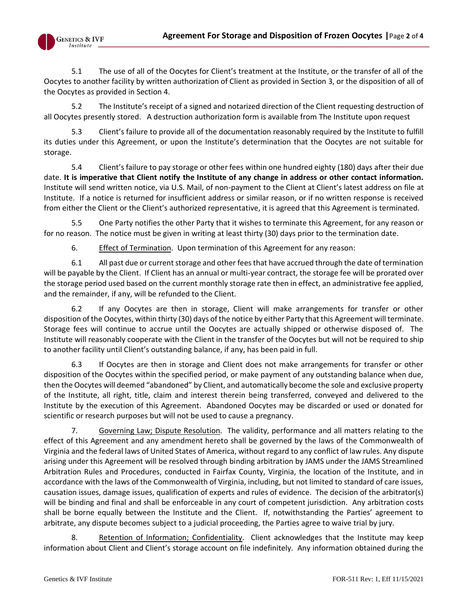

5.1 The use of all of the Oocytes for Client's treatment at the Institute, or the transfer of all of the Oocytes to another facility by written authorization of Client as provided in Section 3, or the disposition of all of the Oocytes as provided in Section 4.

5.2 The Institute's receipt of a signed and notarized direction of the Client requesting destruction of all Oocytes presently stored. A destruction authorization form is available from The Institute upon request

5.3 Client's failure to provide all of the documentation reasonably required by the Institute to fulfill its duties under this Agreement, or upon the Institute's determination that the Oocytes are not suitable for storage.

5.4 Client's failure to pay storage or other fees within one hundred eighty (180) days after their due date. **It is imperative that Client notify the Institute of any change in address or other contact information.** Institute will send written notice, via U.S. Mail, of non-payment to the Client at Client's latest address on file at Institute. If a notice is returned for insufficient address or similar reason, or if no written response is received from either the Client or the Client's authorized representative, it is agreed that this Agreement is terminated.

5.5 One Party notifies the other Party that it wishes to terminate this Agreement, for any reason or for no reason. The notice must be given in writing at least thirty (30) days prior to the termination date.

6. Effect of Termination. Upon termination of this Agreement for any reason:

6.1 All past due or current storage and other fees that have accrued through the date of termination will be payable by the Client. If Client has an annual or multi-year contract, the storage fee will be prorated over the storage period used based on the current monthly storage rate then in effect, an administrative fee applied, and the remainder, if any, will be refunded to the Client.

6.2 If any Oocytes are then in storage, Client will make arrangements for transfer or other disposition of the Oocytes, within thirty (30) days of the notice by either Party that this Agreement will terminate. Storage fees will continue to accrue until the Oocytes are actually shipped or otherwise disposed of. The Institute will reasonably cooperate with the Client in the transfer of the Oocytes but will not be required to ship to another facility until Client's outstanding balance, if any, has been paid in full.

6.3 If Oocytes are then in storage and Client does not make arrangements for transfer or other disposition of the Oocytes within the specified period, or make payment of any outstanding balance when due, then the Oocytes will deemed "abandoned" by Client, and automatically become the sole and exclusive property of the Institute, all right, title, claim and interest therein being transferred, conveyed and delivered to the Institute by the execution of this Agreement. Abandoned Oocytes may be discarded or used or donated for scientific or research purposes but will not be used to cause a pregnancy.

7. Governing Law; Dispute Resolution. The validity, performance and all matters relating to the effect of this Agreement and any amendment hereto shall be governed by the laws of the Commonwealth of Virginia and the federal laws of United States of America, without regard to any conflict of law rules. Any dispute arising under this Agreement will be resolved through binding arbitration by JAMS under the JAMS Streamlined Arbitration Rules and Procedures, conducted in Fairfax County, Virginia, the location of the Institute, and in accordance with the laws of the Commonwealth of Virginia, including, but not limited to standard of care issues, causation issues, damage issues, qualification of experts and rules of evidence. The decision of the arbitrator(s) will be binding and final and shall be enforceable in any court of competent jurisdiction. Any arbitration costs shall be borne equally between the Institute and the Client. If, notwithstanding the Parties' agreement to arbitrate, any dispute becomes subject to a judicial proceeding, the Parties agree to waive trial by jury.

8. Retention of Information; Confidentiality. Client acknowledges that the Institute may keep information about Client and Client's storage account on file indefinitely. Any information obtained during the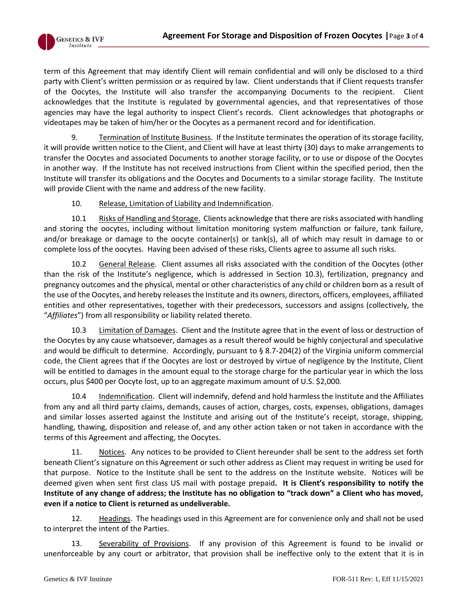

term of this Agreement that may identify Client will remain confidential and will only be disclosed to a third party with Client's written permission or as required by law. Client understands that if Client requests transfer of the Oocytes, the Institute will also transfer the accompanying Documents to the recipient. Client acknowledges that the Institute is regulated by governmental agencies, and that representatives of those agencies may have the legal authority to inspect Client's records. Client acknowledges that photographs or videotapes may be taken of him/her or the Oocytes as a permanent record and for identification.

9. Termination of Institute Business. If the Institute terminates the operation of its storage facility, it will provide written notice to the Client, and Client will have at least thirty (30) days to make arrangements to transfer the Oocytes and associated Documents to another storage facility, or to use or dispose of the Oocytes in another way. If the Institute has not received instructions from Client within the specified period, then the Institute will transfer its obligations and the Oocytes and Documents to a similar storage facility. The Institute will provide Client with the name and address of the new facility.

## 10. Release, Limitation of Liability and Indemnification.

10.1 Risks of Handling and Storage. Clients acknowledge that there are risks associated with handling and storing the oocytes, including without limitation monitoring system malfunction or failure, tank failure, and/or breakage or damage to the oocyte container(s) or tank(s), all of which may result in damage to or complete loss of the oocytes. Having been advised of these risks, Clients agree to assume all such risks.

10.2 General Release. Client assumes all risks associated with the condition of the Oocytes (other than the risk of the Institute's negligence, which is addressed in Section 10.3), fertilization, pregnancy and pregnancy outcomes and the physical, mental or other characteristics of any child or children born as a result of the use of the Oocytes, and hereby releases the Institute and its owners, directors, officers, employees, affiliated entities and other representatives, together with their predecessors, successors and assigns (collectively, the "*Affiliates*") from all responsibility or liability related thereto.

10.3 Limitation of Damages. Client and the Institute agree that in the event of loss or destruction of the Oocytes by any cause whatsoever, damages as a result thereof would be highly conjectural and speculative and would be difficult to determine. Accordingly, pursuant to § 8.7-204(2) of the Virginia uniform commercial code, the Client agrees that if the Oocytes are lost or destroyed by virtue of negligence by the Institute, Client will be entitled to damages in the amount equal to the storage charge for the particular year in which the loss occurs, plus \$400 per Oocyte lost, up to an aggregate maximum amount of U.S. \$2,000.

10.4 Indemnification. Client will indemnify, defend and hold harmless the Institute and the Affiliates from any and all third party claims, demands, causes of action, charges, costs, expenses, obligations, damages and similar losses asserted against the Institute and arising out of the Institute's receipt, storage, shipping, handling, thawing, disposition and release of, and any other action taken or not taken in accordance with the terms of this Agreement and affecting, the Oocytes.

11. Notices. Any notices to be provided to Client hereunder shall be sent to the address set forth beneath Client's signature on this Agreement or such other address as Client may request in writing be used for that purpose. Notice to the Institute shall be sent to the address on the Institute website. Notices will be deemed given when sent first class US mail with postage prepaid**. It is Client's responsibility to notify the Institute of any change of address; the Institute has no obligation to "track down" a Client who has moved, even if a notice to Client is returned as undeliverable.**

12. Headings. The headings used in this Agreement are for convenience only and shall not be used to interpret the intent of the Parties.

13. Severability of Provisions. If any provision of this Agreement is found to be invalid or unenforceable by any court or arbitrator, that provision shall be ineffective only to the extent that it is in